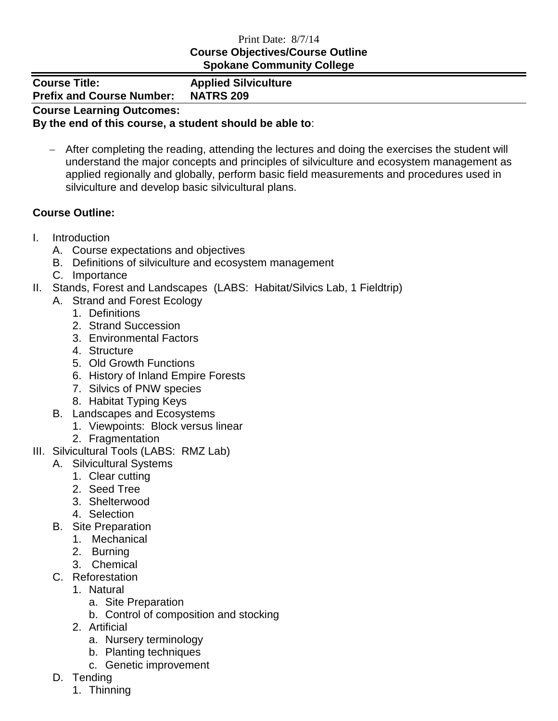## Print Date: 8/7/14 **Course Objectives/Course Outline Spokane Community College**

| <b>PRONUNCTO COMMUNIST CONCUPT</b> |                             |
|------------------------------------|-----------------------------|
| <b>Course Title:</b>               | <b>Applied Silviculture</b> |
| <b>Prefix and Course Number:</b>   | <b>NATRS 209</b>            |
| <b>Course Learning Outcomes:</b>   |                             |

## **By the end of this course, a student should be able to**:

 After completing the reading, attending the lectures and doing the exercises the student will understand the major concepts and principles of silviculture and ecosystem management as applied regionally and globally, perform basic field measurements and procedures used in silviculture and develop basic silvicultural plans.

## **Course Outline:**

- I. Introduction
	- A. Course expectations and objectives
	- B. Definitions of silviculture and ecosystem management
	- C. Importance
- II. Stands, Forest and Landscapes (LABS: Habitat/Silvics Lab, 1 Fieldtrip)
	- A. Strand and Forest Ecology
		- 1. Definitions
		- 2. Strand Succession
		- 3. Environmental Factors
		- 4. Structure
		- 5. Old Growth Functions
		- 6. History of Inland Empire Forests
		- 7. Silvics of PNW species
		- 8. Habitat Typing Keys
	- B. Landscapes and Ecosystems
		- 1. Viewpoints: Block versus linear
		- 2. Fragmentation
- III. Silvicultural Tools (LABS: RMZ Lab)
	- A. Silvicultural Systems
		- 1. Clear cutting
		- 2. Seed Tree
		- 3. Shelterwood
		- 4. Selection
	- B. Site Preparation
		- 1. Mechanical
		- 2. Burning
		- 3. Chemical
	- C. Reforestation
		- 1. Natural
			- a. Site Preparation
			- b. Control of composition and stocking
		- 2. Artificial
			- a. Nursery terminology
			- b. Planting techniques
			- c. Genetic improvement
	- D. Tending
		- 1. Thinning